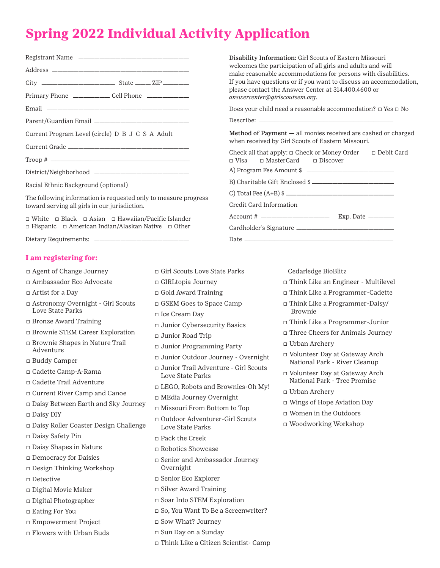## **Spring 2022 Individual Activity Application**

|                                                  | Primary Phone _________ Cell Phone _________                 |  |
|--------------------------------------------------|--------------------------------------------------------------|--|
|                                                  |                                                              |  |
|                                                  |                                                              |  |
| Current Program Level (circle) D B J C S A Adult |                                                              |  |
|                                                  |                                                              |  |
|                                                  |                                                              |  |
|                                                  |                                                              |  |
| Racial Ethnic Background (optional)              |                                                              |  |
|                                                  | The fellowing information is nonrapped and the measure nucle |  |

The following information is requested only to measure progress toward serving all girls in our jurisdiction.

� White � Black � Asian � Hawaiian/Pacific Islander � Hispanic � American Indian/Alaskan Native � Other

Dietary Requirements: \_

## **I am registering for:**

- � Agent of Change Journey
- � Ambassador Eco Advocate
- □ Artist for a Day
- � Astronomy Overnight Girl Scouts Love State Parks
- � Bronze Award Training
- � Brownie STEM Career Exploration
- � Brownie Shapes in Nature Trail Adventure
- � Buddy Camper
- � Cadette Camp-A-Rama
- � Cadette Trail Adventure
- � Current River Camp and Canoe
- � Daisy Between Earth and Sky Journey
- � Daisy DIY
- � Daisy Roller Coaster Design Challenge
- � Daisy Safety Pin
- � Daisy Shapes in Nature
- � Democracy for Daisies
- � Design Thinking Workshop
- � Detective
- � Digital Movie Maker
- � Digital Photographer
- □ Eating For You
- � Empowerment Project
- � Flowers with Urban Buds
- � Girl Scouts Love State Parks
- � GIRLtopia Journey
- � Gold Award Training
- � GSEM Goes to Space Camp
- � Ice Cream Day
- � Junior Cybersecurity Basics
- � Junior Road Trip
- � Junior Programming Party
- � Junior Outdoor Journey Overnight
- � Junior Trail Adventure Girl Scouts Love State Parks
- � LEGO, Robots and Brownies-Oh My!
- � MEdia Journey Overnight
- � Missouri From Bottom to Top
- � Outdoor Adventurer-Girl Scouts Love State Parks
- � Pack the Creek
- � Robotics Showcase
- � Senior and Ambassador Journey Overnight
- □ Senior Eco Explorer
- � Silver Award Training
- � Soar Into STEM Exploration
- □ So, You Want To Be a Screenwriter?
- � Sow What? Journey
- � Sun Day on a Sunday
- � Think Like a Citizen Scientist- Camp

Disability Information: Girl Scouts of Eastern Missouri welcomes the participation of all girls and adults and will make reasonable accommodations for persons with disabilities. If you have questions or if you want to discuss an accommodation, please contact the Answer Center at 314.400.4600 or *[answercenter@girlscoutsem.org](mailto:answercenter@girlscoutsem.org)*.

Does your child need a reasonable accommodation?  $\Box$  Yes  $\Box$  No

Describe: <sub>-</sub>

Method of Payment — all monies received are cashed or charged when received by Girl Scouts of Eastern Missouri.

Check all that apply: � Check or Money Order � Debit Card � Visa � MasterCard � Discover A) Program Fee Amount \$

B) Charitable Gift Enclosed \$

C) Total Fee (A+B) \$ \_\_\_\_\_\_\_\_

Credit Card Information

Account # ————————————— Exp. Date —————

Cardholder's Signature ———————————————————

Date ———————————————————————————

Cedarledge BioBlitz

- � Think Like an Engineer Multilevel
- � Think Like a Programmer-Cadette
- � Think Like a Programmer-Daisy/ Brownie
- � Think Like a Programmer-Junior
- □ Three Cheers for Animals Journey
- � Urban Archery
- � Volunteer Day at Gateway Arch National Park - River Cleanup
- � Volunteer Day at Gateway Arch National Park - Tree Promise
- � Urban Archery
- □ Wings of Hope Aviation Day
- � Women in the Outdoors
- � Woodworking Workshop
- 
- 
- 
- 
-